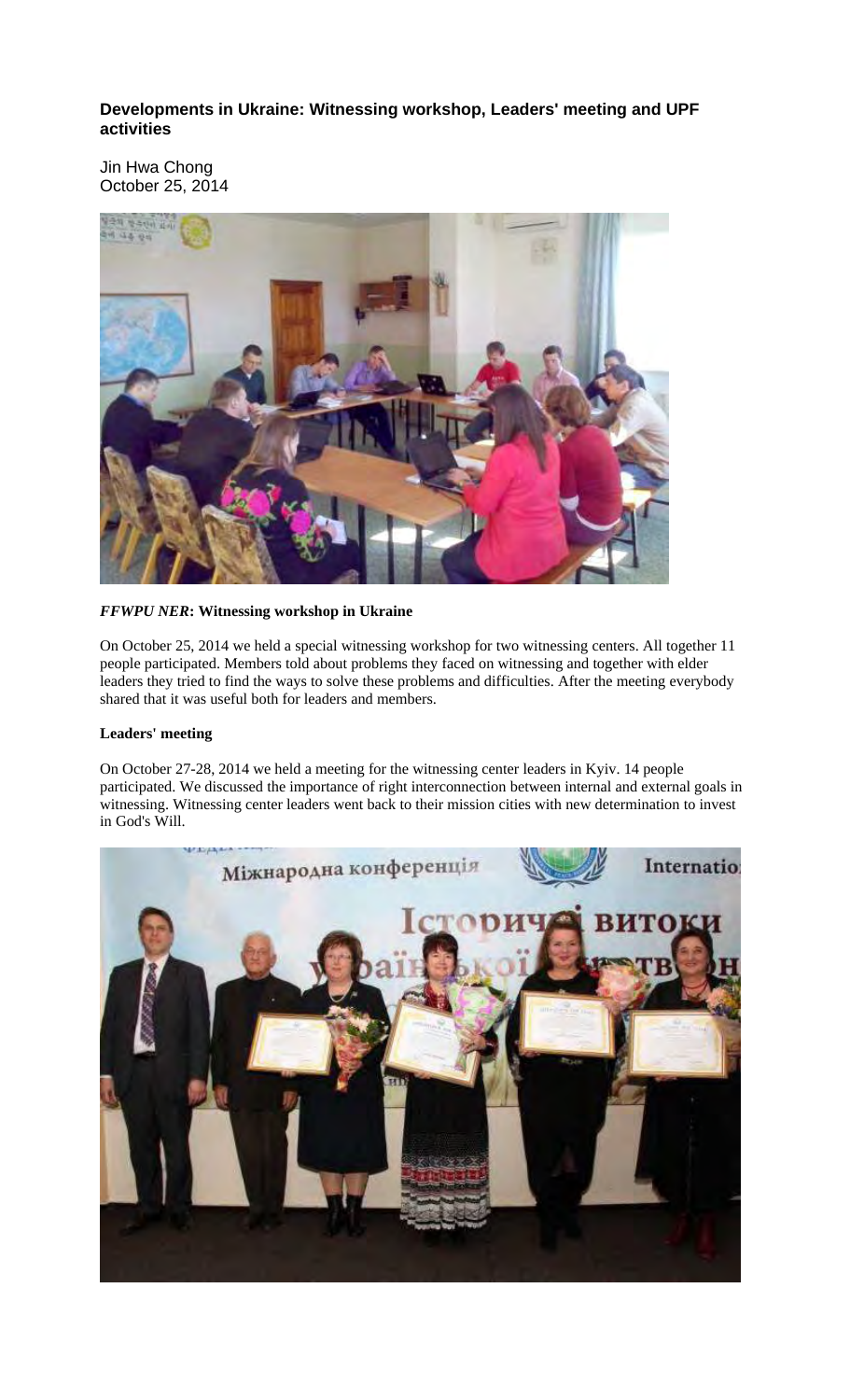## **Developments in Ukraine: Witnessing workshop, Leaders' meeting and UPF activities**

Jin Hwa Chong October 25, 2014



## *FFWPU NER***: Witnessing workshop in Ukraine**

On October 25, 2014 we held a special witnessing workshop for two witnessing centers. All together 11 people participated. Members told about problems they faced on witnessing and together with elder leaders they tried to find the ways to solve these problems and difficulties. After the meeting everybody shared that it was useful both for leaders and members.

## **Leaders' meeting**

On October 27-28, 2014 we held a meeting for the witnessing center leaders in Kyiv. 14 people participated. We discussed the importance of right interconnection between internal and external goals in witnessing. Witnessing center leaders went back to their mission cities with new determination to invest in God's Will.